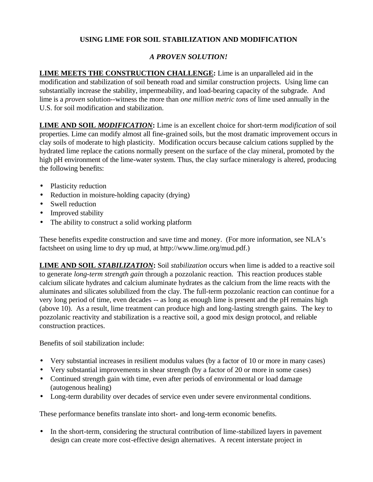## **USING LIME FOR SOIL STABILIZATION AND MODIFICATION**

## *A PROVEN SOLUTION!*

**LIME MEETS THE CONSTRUCTION CHALLENGE:** Lime is an unparalleled aid in the modification and stabilization of soil beneath road and similar construction projects. Using lime can substantially increase the stability, impermeability, and load-bearing capacity of the subgrade. And lime is a *proven* solution--witness the more than *one million metric tons* of lime used annually in the U.S. for soil modification and stabilization.

**LIME AND SOIL** *MODIFICATION***:** Lime is an excellent choice for short-term *modification* of soil properties. Lime can modify almost all fine-grained soils, but the most dramatic improvement occurs in clay soils of moderate to high plasticity. Modification occurs because calcium cations supplied by the hydrated lime replace the cations normally present on the surface of the clay mineral, promoted by the high pH environment of the lime-water system. Thus, the clay surface mineralogy is altered, producing the following benefits:

- Plasticity reduction
- Reduction in moisture-holding capacity (drying)
- Swell reduction
- Improved stability
- The ability to construct a solid working platform

These benefits expedite construction and save time and money. (For more information, see NLA's factsheet on using lime to dry up mud, at http://www.lime.org/mud.pdf.)

**LIME AND SOIL** *STABILIZATION***:** Soil *stabilization* occurs when lime is added to a reactive soil to generate *long-term strength gain* through a pozzolanic reaction. This reaction produces stable calcium silicate hydrates and calcium aluminate hydrates as the calcium from the lime reacts with the aluminates and silicates solubilized from the clay. The full-term pozzolanic reaction can continue for a very long period of time, even decades -- as long as enough lime is present and the pH remains high (above 10). As a result, lime treatment can produce high and long-lasting strength gains. The key to pozzolanic reactivity and stabilization is a reactive soil, a good mix design protocol, and reliable construction practices.

Benefits of soil stabilization include:

- Very substantial increases in resilient modulus values (by a factor of 10 or more in many cases)
- Very substantial improvements in shear strength (by a factor of 20 or more in some cases)
- Continued strength gain with time, even after periods of environmental or load damage (autogenous healing)
- Long-term durability over decades of service even under severe environmental conditions.

These performance benefits translate into short- and long-term economic benefits.

• In the short-term, considering the structural contribution of lime-stabilized layers in pavement design can create more cost-effective design alternatives. A recent interstate project in